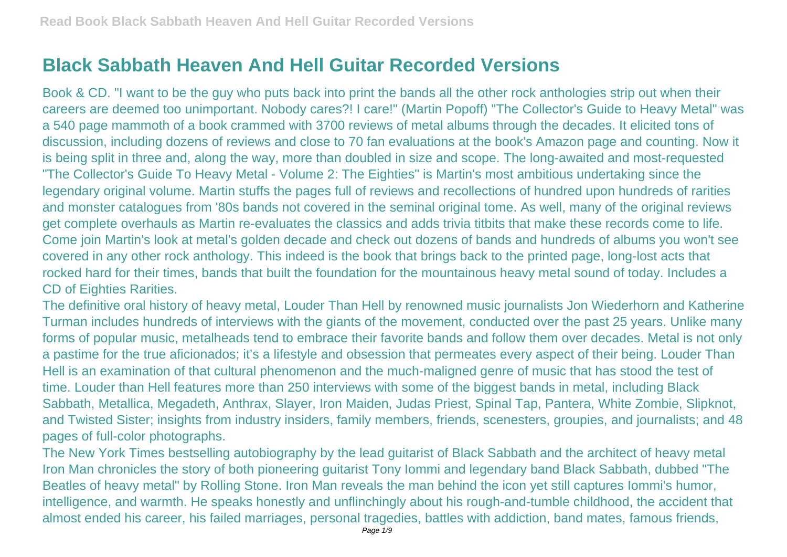## **Black Sabbath Heaven And Hell Guitar Recorded Versions**

Book & CD. "I want to be the guy who puts back into print the bands all the other rock anthologies strip out when their careers are deemed too unimportant. Nobody cares?! I care!" (Martin Popoff) "The Collector's Guide to Heavy Metal" was a 540 page mammoth of a book crammed with 3700 reviews of metal albums through the decades. It elicited tons of discussion, including dozens of reviews and close to 70 fan evaluations at the book's Amazon page and counting. Now it is being split in three and, along the way, more than doubled in size and scope. The long-awaited and most-requested "The Collector's Guide To Heavy Metal - Volume 2: The Eighties" is Martin's most ambitious undertaking since the legendary original volume. Martin stuffs the pages full of reviews and recollections of hundred upon hundreds of rarities and monster catalogues from '80s bands not covered in the seminal original tome. As well, many of the original reviews get complete overhauls as Martin re-evaluates the classics and adds trivia titbits that make these records come to life. Come join Martin's look at metal's golden decade and check out dozens of bands and hundreds of albums you won't see covered in any other rock anthology. This indeed is the book that brings back to the printed page, long-lost acts that rocked hard for their times, bands that built the foundation for the mountainous heavy metal sound of today. Includes a CD of Eighties Rarities.

The definitive oral history of heavy metal, Louder Than Hell by renowned music journalists Jon Wiederhorn and Katherine Turman includes hundreds of interviews with the giants of the movement, conducted over the past 25 years. Unlike many forms of popular music, metalheads tend to embrace their favorite bands and follow them over decades. Metal is not only a pastime for the true aficionados; it's a lifestyle and obsession that permeates every aspect of their being. Louder Than Hell is an examination of that cultural phenomenon and the much-maligned genre of music that has stood the test of time. Louder than Hell features more than 250 interviews with some of the biggest bands in metal, including Black Sabbath, Metallica, Megadeth, Anthrax, Slayer, Iron Maiden, Judas Priest, Spinal Tap, Pantera, White Zombie, Slipknot, and Twisted Sister; insights from industry insiders, family members, friends, scenesters, groupies, and journalists; and 48 pages of full-color photographs.

The New York Times bestselling autobiography by the lead guitarist of Black Sabbath and the architect of heavy metal Iron Man chronicles the story of both pioneering guitarist Tony Iommi and legendary band Black Sabbath, dubbed "The Beatles of heavy metal" by Rolling Stone. Iron Man reveals the man behind the icon yet still captures Iommi's humor, intelligence, and warmth. He speaks honestly and unflinchingly about his rough-and-tumble childhood, the accident that almost ended his career, his failed marriages, personal tragedies, battles with addiction, band mates, famous friends,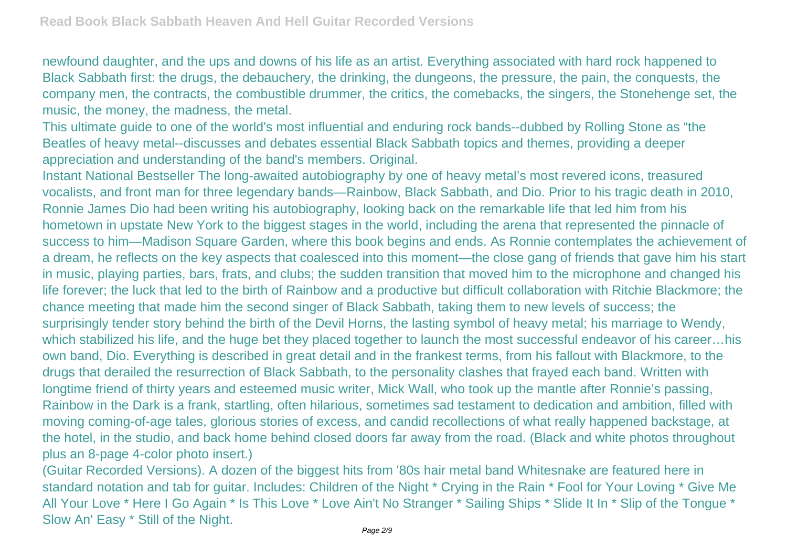newfound daughter, and the ups and downs of his life as an artist. Everything associated with hard rock happened to Black Sabbath first: the drugs, the debauchery, the drinking, the dungeons, the pressure, the pain, the conquests, the company men, the contracts, the combustible drummer, the critics, the comebacks, the singers, the Stonehenge set, the music, the money, the madness, the metal.

This ultimate guide to one of the world's most influential and enduring rock bands--dubbed by Rolling Stone as "the Beatles of heavy metal--discusses and debates essential Black Sabbath topics and themes, providing a deeper appreciation and understanding of the band's members. Original.

Instant National Bestseller The long-awaited autobiography by one of heavy metal's most revered icons, treasured vocalists, and front man for three legendary bands—Rainbow, Black Sabbath, and Dio. Prior to his tragic death in 2010, Ronnie James Dio had been writing his autobiography, looking back on the remarkable life that led him from his hometown in upstate New York to the biggest stages in the world, including the arena that represented the pinnacle of success to him—Madison Square Garden, where this book begins and ends. As Ronnie contemplates the achievement of a dream, he reflects on the key aspects that coalesced into this moment—the close gang of friends that gave him his start in music, playing parties, bars, frats, and clubs; the sudden transition that moved him to the microphone and changed his life forever; the luck that led to the birth of Rainbow and a productive but difficult collaboration with Ritchie Blackmore; the chance meeting that made him the second singer of Black Sabbath, taking them to new levels of success; the surprisingly tender story behind the birth of the Devil Horns, the lasting symbol of heavy metal; his marriage to Wendy, which stabilized his life, and the huge bet they placed together to launch the most successful endeavor of his career...his own band, Dio. Everything is described in great detail and in the frankest terms, from his fallout with Blackmore, to the drugs that derailed the resurrection of Black Sabbath, to the personality clashes that frayed each band. Written with longtime friend of thirty years and esteemed music writer, Mick Wall, who took up the mantle after Ronnie's passing, Rainbow in the Dark is a frank, startling, often hilarious, sometimes sad testament to dedication and ambition, filled with moving coming-of-age tales, glorious stories of excess, and candid recollections of what really happened backstage, at the hotel, in the studio, and back home behind closed doors far away from the road. (Black and white photos throughout plus an 8-page 4-color photo insert.)

(Guitar Recorded Versions). A dozen of the biggest hits from '80s hair metal band Whitesnake are featured here in standard notation and tab for guitar. Includes: Children of the Night \* Crying in the Rain \* Fool for Your Loving \* Give Me All Your Love \* Here I Go Again \* Is This Love \* Love Ain't No Stranger \* Sailing Ships \* Slide It In \* Slip of the Tongue \* Slow An' Easy \* Still of the Night.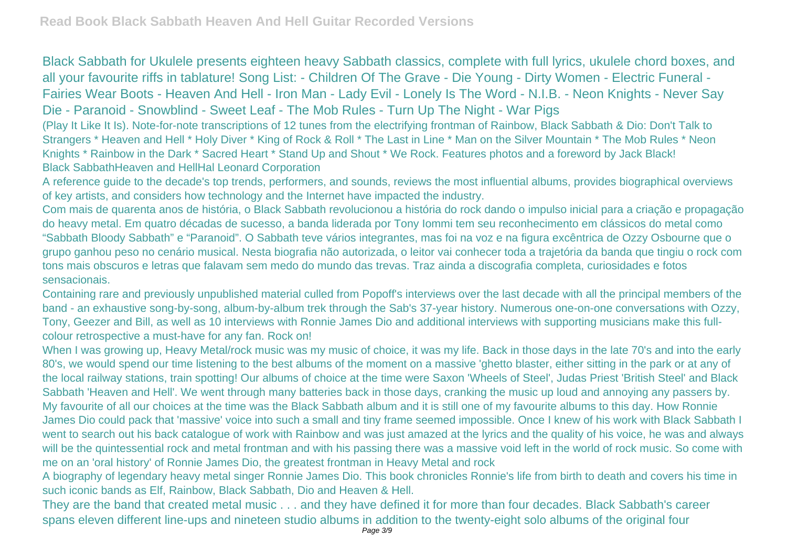Black Sabbath for Ukulele presents eighteen heavy Sabbath classics, complete with full lyrics, ukulele chord boxes, and all your favourite riffs in tablature! Song List: - Children Of The Grave - Die Young - Dirty Women - Electric Funeral - Fairies Wear Boots - Heaven And Hell - Iron Man - Lady Evil - Lonely Is The Word - N.I.B. - Neon Knights - Never Say Die - Paranoid - Snowblind - Sweet Leaf - The Mob Rules - Turn Up The Night - War Pigs

(Play It Like It Is). Note-for-note transcriptions of 12 tunes from the electrifying frontman of Rainbow, Black Sabbath & Dio: Don't Talk to Strangers \* Heaven and Hell \* Holy Diver \* King of Rock & Roll \* The Last in Line \* Man on the Silver Mountain \* The Mob Rules \* Neon Knights \* Rainbow in the Dark \* Sacred Heart \* Stand Up and Shout \* We Rock. Features photos and a foreword by Jack Black! Black SabbathHeaven and HellHal Leonard Corporation

A reference guide to the decade's top trends, performers, and sounds, reviews the most influential albums, provides biographical overviews of key artists, and considers how technology and the Internet have impacted the industry.

Com mais de quarenta anos de história, o Black Sabbath revolucionou a história do rock dando o impulso inicial para a criação e propagação do heavy metal. Em quatro décadas de sucesso, a banda liderada por Tony Iommi tem seu reconhecimento em clássicos do metal como "Sabbath Bloody Sabbath" e "Paranoid". O Sabbath teve vários integrantes, mas foi na voz e na figura excêntrica de Ozzy Osbourne que o grupo ganhou peso no cenário musical. Nesta biografia não autorizada, o leitor vai conhecer toda a trajetória da banda que tingiu o rock com tons mais obscuros e letras que falavam sem medo do mundo das trevas. Traz ainda a discografia completa, curiosidades e fotos sensacionais.

Containing rare and previously unpublished material culled from Popoff's interviews over the last decade with all the principal members of the band - an exhaustive song-by-song, album-by-album trek through the Sab's 37-year history. Numerous one-on-one conversations with Ozzy, Tony, Geezer and Bill, as well as 10 interviews with Ronnie James Dio and additional interviews with supporting musicians make this fullcolour retrospective a must-have for any fan. Rock on!

When I was growing up, Heavy Metal/rock music was my music of choice, it was my life. Back in those days in the late 70's and into the early 80's, we would spend our time listening to the best albums of the moment on a massive 'ghetto blaster, either sitting in the park or at any of the local railway stations, train spotting! Our albums of choice at the time were Saxon 'Wheels of Steel', Judas Priest 'British Steel' and Black Sabbath 'Heaven and Hell'. We went through many batteries back in those days, cranking the music up loud and annoying any passers by. My favourite of all our choices at the time was the Black Sabbath album and it is still one of my favourite albums to this day. How Ronnie James Dio could pack that 'massive' voice into such a small and tiny frame seemed impossible. Once I knew of his work with Black Sabbath I went to search out his back catalogue of work with Rainbow and was just amazed at the lyrics and the quality of his voice, he was and always will be the quintessential rock and metal frontman and with his passing there was a massive void left in the world of rock music. So come with me on an 'oral history' of Ronnie James Dio, the greatest frontman in Heavy Metal and rock

A biography of legendary heavy metal singer Ronnie James Dio. This book chronicles Ronnie's life from birth to death and covers his time in such iconic bands as Elf, Rainbow, Black Sabbath, Dio and Heaven & Hell.

They are the band that created metal music . . . and they have defined it for more than four decades. Black Sabbath's career spans eleven different line-ups and nineteen studio albums in addition to the twenty-eight solo albums of the original four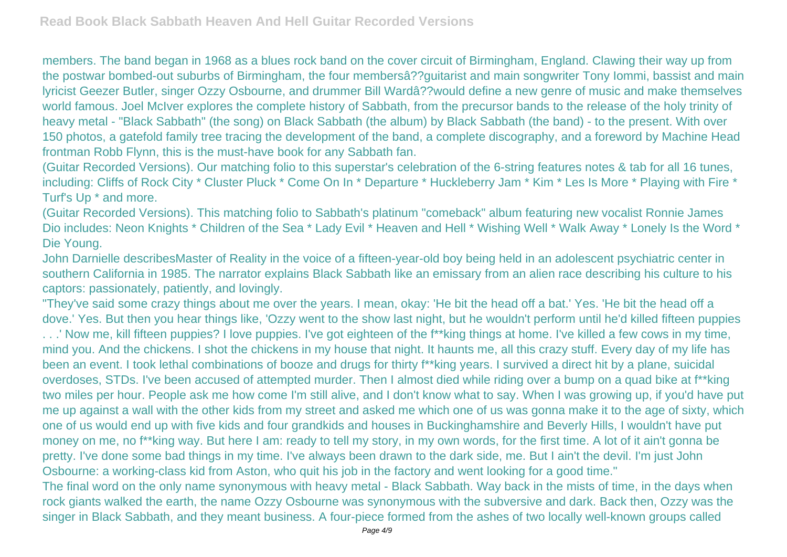members. The band began in 1968 as a blues rock band on the cover circuit of Birmingham, England. Clawing their way up from the postwar bombed-out suburbs of Birmingham, the four membersâ??guitarist and main songwriter Tony Iommi, bassist and main lyricist Geezer Butler, singer Ozzy Osbourne, and drummer Bill Wardâ??would define a new genre of music and make themselves world famous. Joel McIver explores the complete history of Sabbath, from the precursor bands to the release of the holy trinity of heavy metal - "Black Sabbath" (the song) on Black Sabbath (the album) by Black Sabbath (the band) - to the present. With over 150 photos, a gatefold family tree tracing the development of the band, a complete discography, and a foreword by Machine Head frontman Robb Flynn, this is the must-have book for any Sabbath fan.

(Guitar Recorded Versions). Our matching folio to this superstar's celebration of the 6-string features notes & tab for all 16 tunes, including: Cliffs of Rock City \* Cluster Pluck \* Come On In \* Departure \* Huckleberry Jam \* Kim \* Les Is More \* Playing with Fire \* Turf's Up \* and more.

(Guitar Recorded Versions). This matching folio to Sabbath's platinum "comeback" album featuring new vocalist Ronnie James Dio includes: Neon Knights \* Children of the Sea \* Lady Evil \* Heaven and Hell \* Wishing Well \* Walk Away \* Lonely Is the Word \* Die Young.

John Darnielle describesMaster of Reality in the voice of a fifteen-year-old boy being held in an adolescent psychiatric center in southern California in 1985. The narrator explains Black Sabbath like an emissary from an alien race describing his culture to his captors: passionately, patiently, and lovingly.

"They've said some crazy things about me over the years. I mean, okay: 'He bit the head off a bat.' Yes. 'He bit the head off a dove.' Yes. But then you hear things like, 'Ozzy went to the show last night, but he wouldn't perform until he'd killed fifteen puppies

...' Now me, kill fifteen puppies? I love puppies. I've got eighteen of the f\*\*king things at home. I've killed a few cows in my time, mind you. And the chickens. I shot the chickens in my house that night. It haunts me, all this crazy stuff. Every day of my life has been an event. I took lethal combinations of booze and drugs for thirty f\*\*king years. I survived a direct hit by a plane, suicidal overdoses, STDs. I've been accused of attempted murder. Then I almost died while riding over a bump on a quad bike at f\*\*king two miles per hour. People ask me how come I'm still alive, and I don't know what to say. When I was growing up, if you'd have put me up against a wall with the other kids from my street and asked me which one of us was gonna make it to the age of sixty, which one of us would end up with five kids and four grandkids and houses in Buckinghamshire and Beverly Hills, I wouldn't have put money on me, no f\*\*king way. But here I am: ready to tell my story, in my own words, for the first time. A lot of it ain't gonna be pretty. I've done some bad things in my time. I've always been drawn to the dark side, me. But I ain't the devil. I'm just John Osbourne: a working-class kid from Aston, who quit his job in the factory and went looking for a good time."

The final word on the only name synonymous with heavy metal - Black Sabbath. Way back in the mists of time, in the days when rock giants walked the earth, the name Ozzy Osbourne was synonymous with the subversive and dark. Back then, Ozzy was the singer in Black Sabbath, and they meant business. A four-piece formed from the ashes of two locally well-known groups called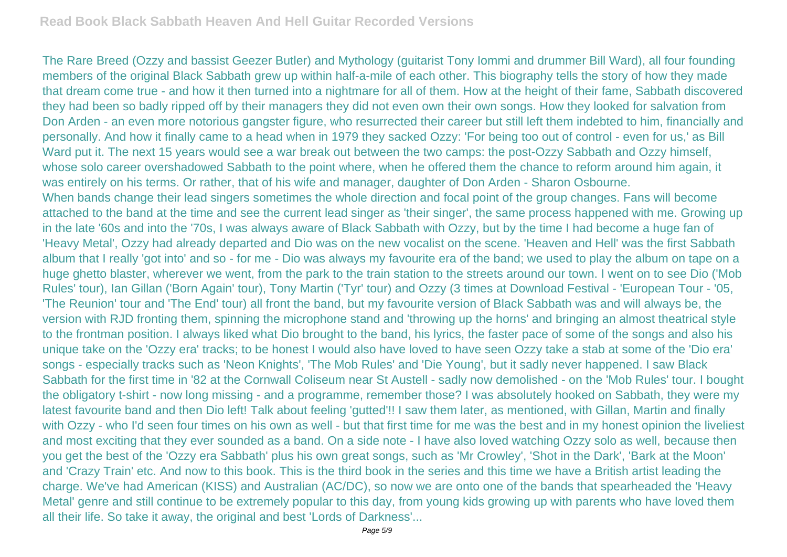The Rare Breed (Ozzy and bassist Geezer Butler) and Mythology (guitarist Tony Iommi and drummer Bill Ward), all four founding members of the original Black Sabbath grew up within half-a-mile of each other. This biography tells the story of how they made that dream come true - and how it then turned into a nightmare for all of them. How at the height of their fame, Sabbath discovered they had been so badly ripped off by their managers they did not even own their own songs. How they looked for salvation from Don Arden - an even more notorious gangster figure, who resurrected their career but still left them indebted to him, financially and personally. And how it finally came to a head when in 1979 they sacked Ozzy: 'For being too out of control - even for us,' as Bill Ward put it. The next 15 years would see a war break out between the two camps: the post-Ozzy Sabbath and Ozzy himself, whose solo career overshadowed Sabbath to the point where, when he offered them the chance to reform around him again, it was entirely on his terms. Or rather, that of his wife and manager, daughter of Don Arden - Sharon Osbourne. When bands change their lead singers sometimes the whole direction and focal point of the group changes. Fans will become attached to the band at the time and see the current lead singer as 'their singer', the same process happened with me. Growing up in the late '60s and into the '70s, I was always aware of Black Sabbath with Ozzy, but by the time I had become a huge fan of 'Heavy Metal', Ozzy had already departed and Dio was on the new vocalist on the scene. 'Heaven and Hell' was the first Sabbath album that I really 'got into' and so - for me - Dio was always my favourite era of the band; we used to play the album on tape on a huge ghetto blaster, wherever we went, from the park to the train station to the streets around our town. I went on to see Dio ('Mob Rules' tour), Ian Gillan ('Born Again' tour), Tony Martin ('Tyr' tour) and Ozzy (3 times at Download Festival - 'European Tour - '05, 'The Reunion' tour and 'The End' tour) all front the band, but my favourite version of Black Sabbath was and will always be, the version with RJD fronting them, spinning the microphone stand and 'throwing up the horns' and bringing an almost theatrical style to the frontman position. I always liked what Dio brought to the band, his lyrics, the faster pace of some of the songs and also his unique take on the 'Ozzy era' tracks; to be honest I would also have loved to have seen Ozzy take a stab at some of the 'Dio era' songs - especially tracks such as 'Neon Knights', 'The Mob Rules' and 'Die Young', but it sadly never happened. I saw Black Sabbath for the first time in '82 at the Cornwall Coliseum near St Austell - sadly now demolished - on the 'Mob Rules' tour. I bought the obligatory t-shirt - now long missing - and a programme, remember those? I was absolutely hooked on Sabbath, they were my latest favourite band and then Dio left! Talk about feeling 'gutted'!! I saw them later, as mentioned, with Gillan, Martin and finally with Ozzy - who I'd seen four times on his own as well - but that first time for me was the best and in my honest opinion the liveliest and most exciting that they ever sounded as a band. On a side note - I have also loved watching Ozzy solo as well, because then you get the best of the 'Ozzy era Sabbath' plus his own great songs, such as 'Mr Crowley', 'Shot in the Dark', 'Bark at the Moon' and 'Crazy Train' etc. And now to this book. This is the third book in the series and this time we have a British artist leading the charge. We've had American (KISS) and Australian (AC/DC), so now we are onto one of the bands that spearheaded the 'Heavy Metal' genre and still continue to be extremely popular to this day, from young kids growing up with parents who have loved them all their life. So take it away, the original and best 'Lords of Darkness'...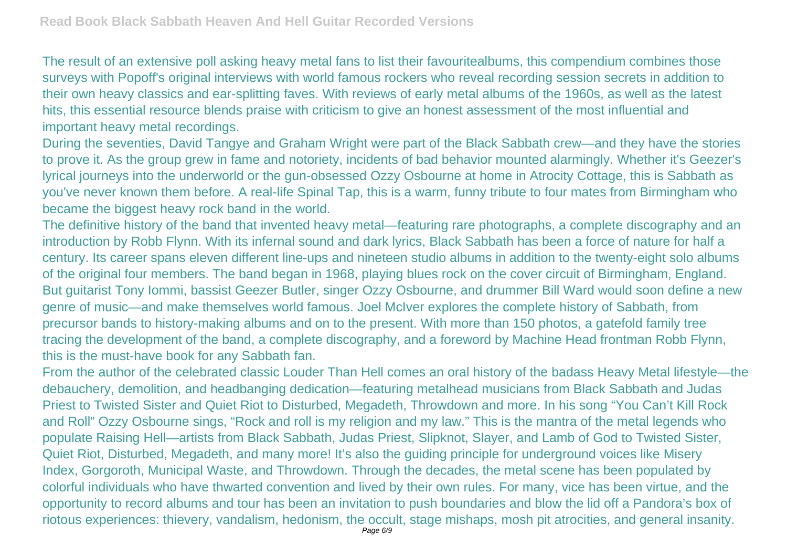The result of an extensive poll asking heavy metal fans to list their favouritealbums, this compendium combines those surveys with Popoff's original interviews with world famous rockers who reveal recording session secrets in addition to their own heavy classics and ear-splitting faves. With reviews of early metal albums of the 1960s, as well as the latest hits, this essential resource blends praise with criticism to give an honest assessment of the most influential and important heavy metal recordings.

During the seventies, David Tangye and Graham Wright were part of the Black Sabbath crew—and they have the stories to prove it. As the group grew in fame and notoriety, incidents of bad behavior mounted alarmingly. Whether it's Geezer's lyrical journeys into the underworld or the gun-obsessed Ozzy Osbourne at home in Atrocity Cottage, this is Sabbath as you've never known them before. A real-life Spinal Tap, this is a warm, funny tribute to four mates from Birmingham who became the biggest heavy rock band in the world.

The definitive history of the band that invented heavy metal—featuring rare photographs, a complete discography and an introduction by Robb Flynn. With its infernal sound and dark lyrics, Black Sabbath has been a force of nature for half a century. Its career spans eleven different line-ups and nineteen studio albums in addition to the twenty-eight solo albums of the original four members. The band began in 1968, playing blues rock on the cover circuit of Birmingham, England. But guitarist Tony Iommi, bassist Geezer Butler, singer Ozzy Osbourne, and drummer Bill Ward would soon define a new genre of music—and make themselves world famous. Joel McIver explores the complete history of Sabbath, from precursor bands to history-making albums and on to the present. With more than 150 photos, a gatefold family tree tracing the development of the band, a complete discography, and a foreword by Machine Head frontman Robb Flynn, this is the must-have book for any Sabbath fan.

From the author of the celebrated classic Louder Than Hell comes an oral history of the badass Heavy Metal lifestyle—the debauchery, demolition, and headbanging dedication—featuring metalhead musicians from Black Sabbath and Judas Priest to Twisted Sister and Quiet Riot to Disturbed, Megadeth, Throwdown and more. In his song "You Can't Kill Rock and Roll" Ozzy Osbourne sings, "Rock and roll is my religion and my law." This is the mantra of the metal legends who populate Raising Hell—artists from Black Sabbath, Judas Priest, Slipknot, Slayer, and Lamb of God to Twisted Sister, Quiet Riot, Disturbed, Megadeth, and many more! It's also the guiding principle for underground voices like Misery Index, Gorgoroth, Municipal Waste, and Throwdown. Through the decades, the metal scene has been populated by colorful individuals who have thwarted convention and lived by their own rules. For many, vice has been virtue, and the opportunity to record albums and tour has been an invitation to push boundaries and blow the lid off a Pandora's box of riotous experiences: thievery, vandalism, hedonism, the occult, stage mishaps, mosh pit atrocities, and general insanity.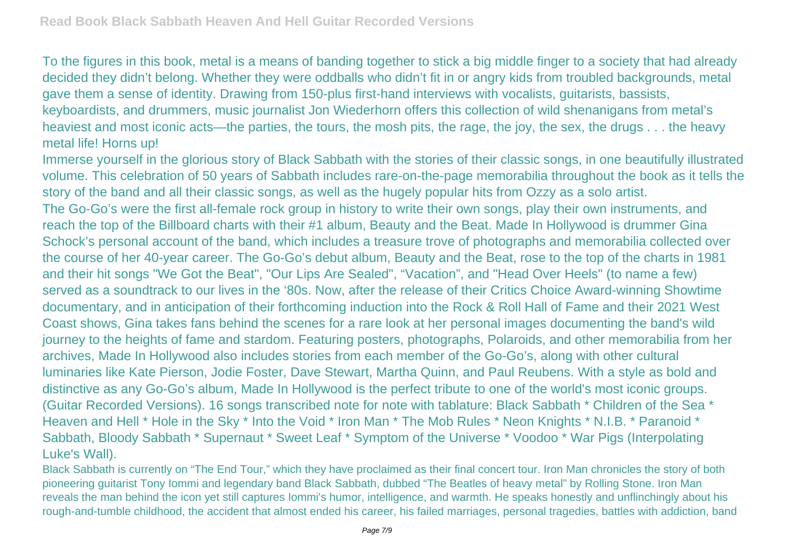To the figures in this book, metal is a means of banding together to stick a big middle finger to a society that had already decided they didn't belong. Whether they were oddballs who didn't fit in or angry kids from troubled backgrounds, metal gave them a sense of identity. Drawing from 150-plus first-hand interviews with vocalists, guitarists, bassists, keyboardists, and drummers, music journalist Jon Wiederhorn offers this collection of wild shenanigans from metal's heaviest and most iconic acts—the parties, the tours, the mosh pits, the rage, the joy, the sex, the drugs . . . the heavy metal life! Horns up!

Immerse yourself in the glorious story of Black Sabbath with the stories of their classic songs, in one beautifully illustrated volume. This celebration of 50 years of Sabbath includes rare-on-the-page memorabilia throughout the book as it tells the story of the band and all their classic songs, as well as the hugely popular hits from Ozzy as a solo artist. The Go-Go's were the first all-female rock group in history to write their own songs, play their own instruments, and reach the top of the Billboard charts with their #1 album, Beauty and the Beat. Made In Hollywood is drummer Gina Schock's personal account of the band, which includes a treasure trove of photographs and memorabilia collected over the course of her 40-year career. The Go-Go's debut album, Beauty and the Beat, rose to the top of the charts in 1981 and their hit songs "We Got the Beat", "Our Lips Are Sealed", "Vacation", and "Head Over Heels" (to name a few) served as a soundtrack to our lives in the '80s. Now, after the release of their Critics Choice Award-winning Showtime documentary, and in anticipation of their forthcoming induction into the Rock & Roll Hall of Fame and their 2021 West Coast shows, Gina takes fans behind the scenes for a rare look at her personal images documenting the band's wild journey to the heights of fame and stardom. Featuring posters, photographs, Polaroids, and other memorabilia from her archives, Made In Hollywood also includes stories from each member of the Go-Go's, along with other cultural luminaries like Kate Pierson, Jodie Foster, Dave Stewart, Martha Quinn, and Paul Reubens. With a style as bold and distinctive as any Go-Go's album, Made In Hollywood is the perfect tribute to one of the world's most iconic groups. (Guitar Recorded Versions). 16 songs transcribed note for note with tablature: Black Sabbath \* Children of the Sea \* Heaven and Hell \* Hole in the Sky \* Into the Void \* Iron Man \* The Mob Rules \* Neon Knights \* N.I.B. \* Paranoid \* Sabbath, Bloody Sabbath \* Supernaut \* Sweet Leaf \* Symptom of the Universe \* Voodoo \* War Pigs (Interpolating Luke's Wall).

Black Sabbath is currently on "The End Tour," which they have proclaimed as their final concert tour. Iron Man chronicles the story of both pioneering guitarist Tony Iommi and legendary band Black Sabbath, dubbed "The Beatles of heavy metal" by Rolling Stone. Iron Man reveals the man behind the icon yet still captures Iommi's humor, intelligence, and warmth. He speaks honestly and unflinchingly about his rough-and-tumble childhood, the accident that almost ended his career, his failed marriages, personal tragedies, battles with addiction, band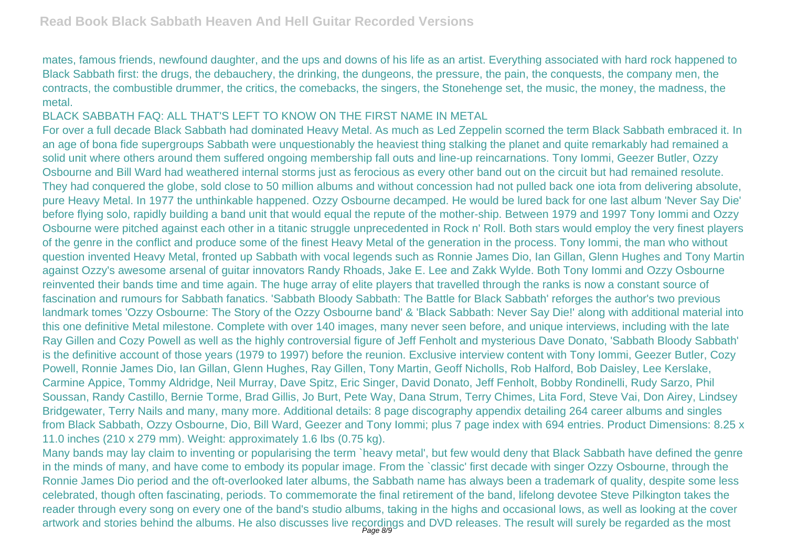mates, famous friends, newfound daughter, and the ups and downs of his life as an artist. Everything associated with hard rock happened to Black Sabbath first: the drugs, the debauchery, the drinking, the dungeons, the pressure, the pain, the conquests, the company men, the contracts, the combustible drummer, the critics, the comebacks, the singers, the Stonehenge set, the music, the money, the madness, the metal.

## BLACK SABBATH FAQ: ALL THAT'S LEFT TO KNOW ON THE FIRST NAME IN METAL

For over a full decade Black Sabbath had dominated Heavy Metal. As much as Led Zeppelin scorned the term Black Sabbath embraced it. In an age of bona fide supergroups Sabbath were unquestionably the heaviest thing stalking the planet and quite remarkably had remained a solid unit where others around them suffered ongoing membership fall outs and line-up reincarnations. Tony Iommi, Geezer Butler, Ozzy Osbourne and Bill Ward had weathered internal storms just as ferocious as every other band out on the circuit but had remained resolute. They had conquered the globe, sold close to 50 million albums and without concession had not pulled back one iota from delivering absolute, pure Heavy Metal. In 1977 the unthinkable happened. Ozzy Osbourne decamped. He would be lured back for one last album 'Never Say Die' before flying solo, rapidly building a band unit that would equal the repute of the mother-ship. Between 1979 and 1997 Tony Iommi and Ozzy Osbourne were pitched against each other in a titanic struggle unprecedented in Rock n' Roll. Both stars would employ the very finest players of the genre in the conflict and produce some of the finest Heavy Metal of the generation in the process. Tony Iommi, the man who without question invented Heavy Metal, fronted up Sabbath with vocal legends such as Ronnie James Dio, Ian Gillan, Glenn Hughes and Tony Martin against Ozzy's awesome arsenal of guitar innovators Randy Rhoads, Jake E. Lee and Zakk Wylde. Both Tony Iommi and Ozzy Osbourne reinvented their bands time and time again. The huge array of elite players that travelled through the ranks is now a constant source of fascination and rumours for Sabbath fanatics. 'Sabbath Bloody Sabbath: The Battle for Black Sabbath' reforges the author's two previous landmark tomes 'Ozzy Osbourne: The Story of the Ozzy Osbourne band' & 'Black Sabbath: Never Say Die!' along with additional material into this one definitive Metal milestone. Complete with over 140 images, many never seen before, and unique interviews, including with the late Ray Gillen and Cozy Powell as well as the highly controversial figure of Jeff Fenholt and mysterious Dave Donato, 'Sabbath Bloody Sabbath' is the definitive account of those years (1979 to 1997) before the reunion. Exclusive interview content with Tony Iommi, Geezer Butler, Cozy Powell, Ronnie James Dio, Ian Gillan, Glenn Hughes, Ray Gillen, Tony Martin, Geoff Nicholls, Rob Halford, Bob Daisley, Lee Kerslake, Carmine Appice, Tommy Aldridge, Neil Murray, Dave Spitz, Eric Singer, David Donato, Jeff Fenholt, Bobby Rondinelli, Rudy Sarzo, Phil Soussan, Randy Castillo, Bernie Torme, Brad Gillis, Jo Burt, Pete Way, Dana Strum, Terry Chimes, Lita Ford, Steve Vai, Don Airey, Lindsey Bridgewater, Terry Nails and many, many more. Additional details: 8 page discography appendix detailing 264 career albums and singles from Black Sabbath, Ozzy Osbourne, Dio, Bill Ward, Geezer and Tony Iommi; plus 7 page index with 694 entries. Product Dimensions: 8.25 x 11.0 inches (210 x 279 mm). Weight: approximately 1.6 lbs (0.75 kg).

Many bands may lay claim to inventing or popularising the term `heavy metal', but few would deny that Black Sabbath have defined the genre in the minds of many, and have come to embody its popular image. From the `classic' first decade with singer Ozzy Osbourne, through the Ronnie James Dio period and the oft-overlooked later albums, the Sabbath name has always been a trademark of quality, despite some less celebrated, though often fascinating, periods. To commemorate the final retirement of the band, lifelong devotee Steve Pilkington takes the reader through every song on every one of the band's studio albums, taking in the highs and occasional lows, as well as looking at the cover artwork and stories behind the albums. He also discusses live recordings and DVD releases. The result will surely be regarded as the most